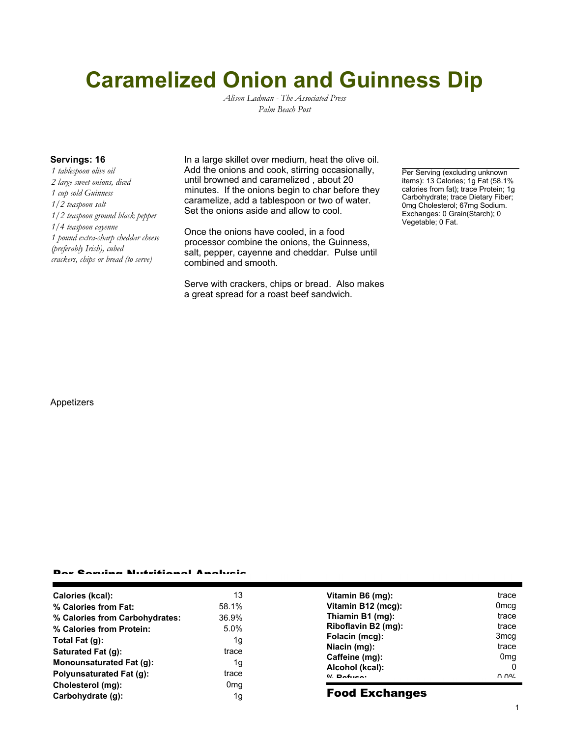# **Caramelized Onion and Guinness Dip**

*Alison Ladman - The Associated Press Palm Beach Post*

*1 tablespoon olive oil 2 large sweet onions, diced 1 cup cold Guinness 1/2 teaspoon salt 1/2 teaspoon ground black pepper 1/4 teaspoon cayenne 1 pound extra-sharp cheddar cheese (preferably Irish), cubed crackers, chips or bread (to serve)*

**Servings: 16** In a large skillet over medium, heat the olive oil. Add the onions and cook, stirring occasionally, until browned and caramelized , about 20 minutes. If the onions begin to char before they caramelize, add a tablespoon or two of water. Set the onions aside and allow to cool.

> Once the onions have cooled, in a food processor combine the onions, the Guinness, salt, pepper, cayenne and cheddar. Pulse until combined and smooth.

Serve with crackers, chips or bread. Also makes a great spread for a roast beef sandwich.

Per Serving (excluding unknown items): 13 Calories; 1g Fat (58.1% calories from fat); trace Protein; 1g Carbohydrate; trace Dietary Fiber; 0mg Cholesterol; 67mg Sodium. Exchanges: 0 Grain(Starch); 0 Vegetable; 0 Fat.

#### Appetizers

#### Per Serving Nutritional Analysis

| Calories (kcal):                | 13              | Vitamin B6 (mg):      | trace            |
|---------------------------------|-----------------|-----------------------|------------------|
| % Calories from Fat:            | 58.1%           | Vitamin B12 (mcg):    | 0 <sub>mcq</sub> |
| % Calories from Carbohydrates:  | 36.9%           | Thiamin B1 (mg):      | trace            |
| % Calories from Protein:        | 5.0%            | Riboflavin B2 (mg):   | trace            |
| Total Fat $(g)$ :               | 1g              | Folacin (mcg):        | 3 <sub>mcq</sub> |
| Saturated Fat (g):              | trace           | Niacin (mg):          | trace            |
| <b>Monounsaturated Fat (g):</b> | 1g              | Caffeine (mg):        | 0 <sub>mq</sub>  |
| Polyunsaturated Fat (g):        | trace           | Alcohol (kcal):       | 0                |
| Cholesterol (mg):               | 0 <sub>mq</sub> | $0/2$ Pofileon        | $\cap$ $\cap$ %  |
| Carbohydrate (g):               | 1g              | <b>Food Exchanges</b> |                  |